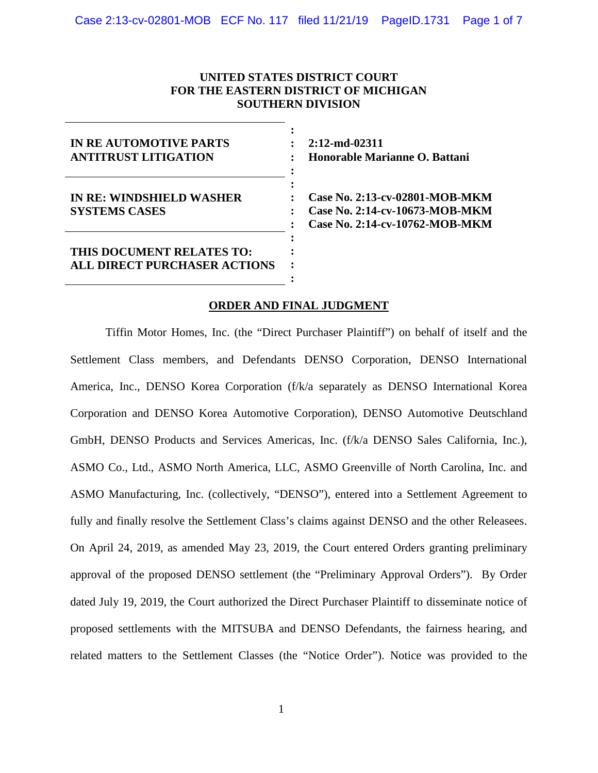### **UNITED STATES DISTRICT COURT FOR THE EASTERN DISTRICT OF MICHIGAN SOUTHERN DIVISION**

| <b>IN RE AUTOMOTIVE PARTS</b><br><b>ANTITRUST LITIGATION</b>     |  |
|------------------------------------------------------------------|--|
| <b>IN RE: WINDSHIELD WASHER</b><br><b>SYSTEMS CASES</b>          |  |
| THIS DOCUMENT RELATES TO:<br><b>ALL DIRECT PURCHASER ACTIONS</b> |  |

**2:12-md-02311 Honorable Marianne O. Battani**

**Case No. 2:13-cv-02801-MOB-MKM Case No. 2:14-cv-10673-MOB-MKM Case No. 2:14-cv-10762-MOB-MKM**

### **ORDER AND FINAL JUDGMENT**

Tiffin Motor Homes, Inc. (the "Direct Purchaser Plaintiff") on behalf of itself and the Settlement Class members, and Defendants DENSO Corporation, DENSO International America, Inc., DENSO Korea Corporation (f/k/a separately as DENSO International Korea Corporation and DENSO Korea Automotive Corporation), DENSO Automotive Deutschland GmbH, DENSO Products and Services Americas, Inc. (f/k/a DENSO Sales California, Inc.), ASMO Co., Ltd., ASMO North America, LLC, ASMO Greenville of North Carolina, Inc. and ASMO Manufacturing, Inc. (collectively, "DENSO"), entered into a Settlement Agreement to fully and finally resolve the Settlement Class's claims against DENSO and the other Releasees. On April 24, 2019, as amended May 23, 2019, the Court entered Orders granting preliminary approval of the proposed DENSO settlement (the "Preliminary Approval Orders"). By Order dated July 19, 2019, the Court authorized the Direct Purchaser Plaintiff to disseminate notice of proposed settlements with the MITSUBA and DENSO Defendants, the fairness hearing, and related matters to the Settlement Classes (the "Notice Order"). Notice was provided to the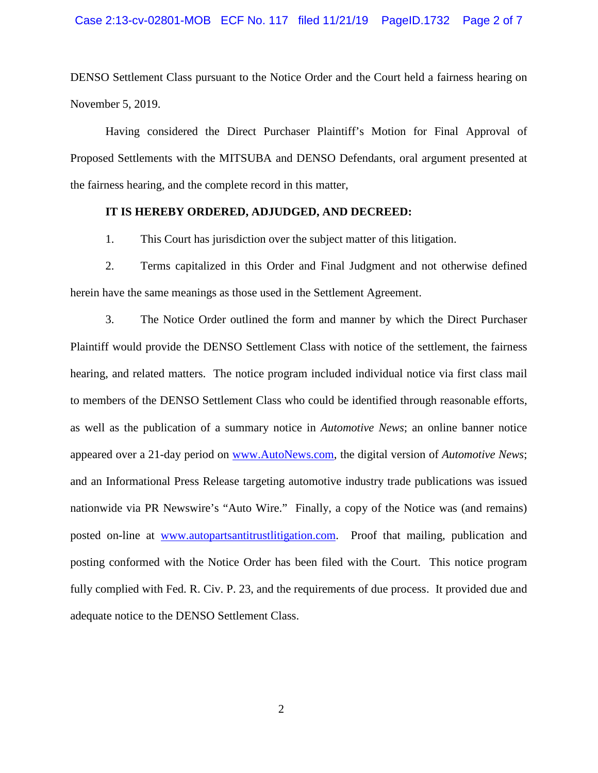DENSO Settlement Class pursuant to the Notice Order and the Court held a fairness hearing on November 5, 2019.

Having considered the Direct Purchaser Plaintiff's Motion for Final Approval of Proposed Settlements with the MITSUBA and DENSO Defendants, oral argument presented at the fairness hearing, and the complete record in this matter,

#### **IT IS HEREBY ORDERED, ADJUDGED, AND DECREED:**

1. This Court has jurisdiction over the subject matter of this litigation.

2. Terms capitalized in this Order and Final Judgment and not otherwise defined herein have the same meanings as those used in the Settlement Agreement.

3. The Notice Order outlined the form and manner by which the Direct Purchaser Plaintiff would provide the DENSO Settlement Class with notice of the settlement, the fairness hearing, and related matters. The notice program included individual notice via first class mail to members of the DENSO Settlement Class who could be identified through reasonable efforts, as well as the publication of a summary notice in *Automotive News*; an online banner notice appeared over a 21-day period on [www.AutoNews.com,](http://www.autonews.com/) the digital version of *Automotive News*; and an Informational Press Release targeting automotive industry trade publications was issued nationwide via PR Newswire's "Auto Wire." Finally, a copy of the Notice was (and remains) posted on-line at [www.autopartsantitrustlitigation.com.](http://www.autopartsantitrustlitigation.com/) Proof that mailing, publication and posting conformed with the Notice Order has been filed with the Court. This notice program fully complied with Fed. R. Civ. P. 23, and the requirements of due process. It provided due and adequate notice to the DENSO Settlement Class.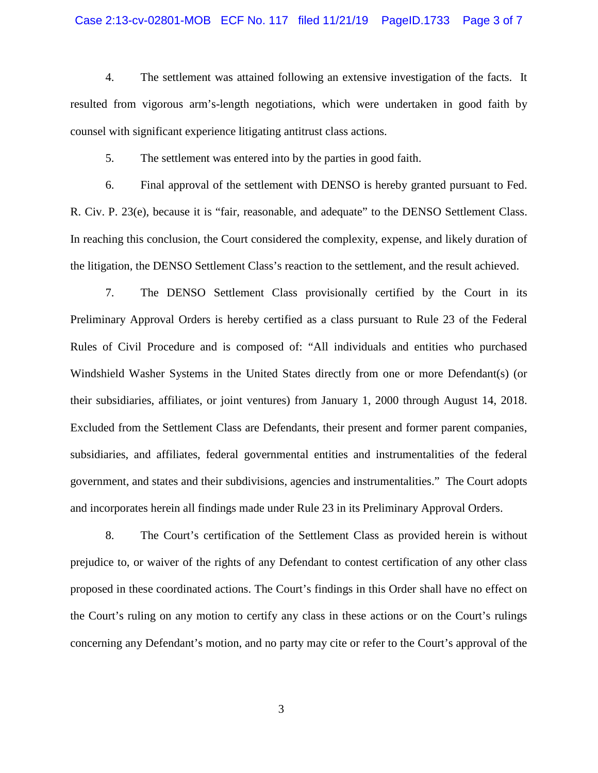#### Case 2:13-cv-02801-MOB ECF No. 117 filed 11/21/19 PageID.1733 Page 3 of 7

4. The settlement was attained following an extensive investigation of the facts. It resulted from vigorous arm's-length negotiations, which were undertaken in good faith by counsel with significant experience litigating antitrust class actions.

5. The settlement was entered into by the parties in good faith.

6. Final approval of the settlement with DENSO is hereby granted pursuant to Fed. R. Civ. P. 23(e), because it is "fair, reasonable, and adequate" to the DENSO Settlement Class. In reaching this conclusion, the Court considered the complexity, expense, and likely duration of the litigation, the DENSO Settlement Class's reaction to the settlement, and the result achieved.

7. The DENSO Settlement Class provisionally certified by the Court in its Preliminary Approval Orders is hereby certified as a class pursuant to Rule 23 of the Federal Rules of Civil Procedure and is composed of: "All individuals and entities who purchased Windshield Washer Systems in the United States directly from one or more Defendant(s) (or their subsidiaries, affiliates, or joint ventures) from January 1, 2000 through August 14, 2018. Excluded from the Settlement Class are Defendants, their present and former parent companies, subsidiaries, and affiliates, federal governmental entities and instrumentalities of the federal government, and states and their subdivisions, agencies and instrumentalities." The Court adopts and incorporates herein all findings made under Rule 23 in its Preliminary Approval Orders.

8. The Court's certification of the Settlement Class as provided herein is without prejudice to, or waiver of the rights of any Defendant to contest certification of any other class proposed in these coordinated actions. The Court's findings in this Order shall have no effect on the Court's ruling on any motion to certify any class in these actions or on the Court's rulings concerning any Defendant's motion, and no party may cite or refer to the Court's approval of the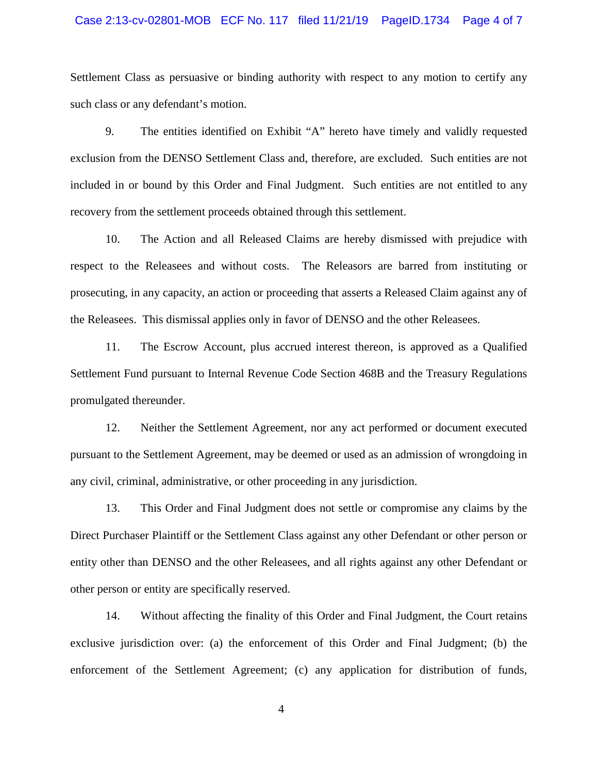#### Case 2:13-cv-02801-MOB ECF No. 117 filed 11/21/19 PageID.1734 Page 4 of 7

Settlement Class as persuasive or binding authority with respect to any motion to certify any such class or any defendant's motion.

9. The entities identified on Exhibit "A" hereto have timely and validly requested exclusion from the DENSO Settlement Class and, therefore, are excluded. Such entities are not included in or bound by this Order and Final Judgment. Such entities are not entitled to any recovery from the settlement proceeds obtained through this settlement.

10. The Action and all Released Claims are hereby dismissed with prejudice with respect to the Releasees and without costs. The Releasors are barred from instituting or prosecuting, in any capacity, an action or proceeding that asserts a Released Claim against any of the Releasees. This dismissal applies only in favor of DENSO and the other Releasees.

11. The Escrow Account, plus accrued interest thereon, is approved as a Qualified Settlement Fund pursuant to Internal Revenue Code Section 468B and the Treasury Regulations promulgated thereunder.

12. Neither the Settlement Agreement, nor any act performed or document executed pursuant to the Settlement Agreement, may be deemed or used as an admission of wrongdoing in any civil, criminal, administrative, or other proceeding in any jurisdiction.

13. This Order and Final Judgment does not settle or compromise any claims by the Direct Purchaser Plaintiff or the Settlement Class against any other Defendant or other person or entity other than DENSO and the other Releasees, and all rights against any other Defendant or other person or entity are specifically reserved.

14. Without affecting the finality of this Order and Final Judgment, the Court retains exclusive jurisdiction over: (a) the enforcement of this Order and Final Judgment; (b) the enforcement of the Settlement Agreement; (c) any application for distribution of funds,

4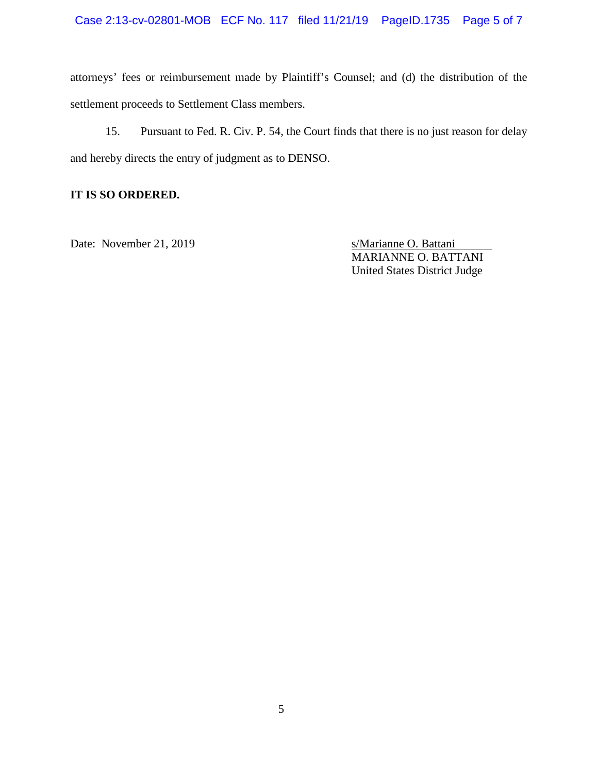attorneys' fees or reimbursement made by Plaintiff's Counsel; and (d) the distribution of the settlement proceeds to Settlement Class members.

15. Pursuant to Fed. R. Civ. P. 54, the Court finds that there is no just reason for delay and hereby directs the entry of judgment as to DENSO.

## **IT IS SO ORDERED.**

Date: November 21, 2019 s/Marianne O. Battani

MARIANNE O. BATTANI United States District Judge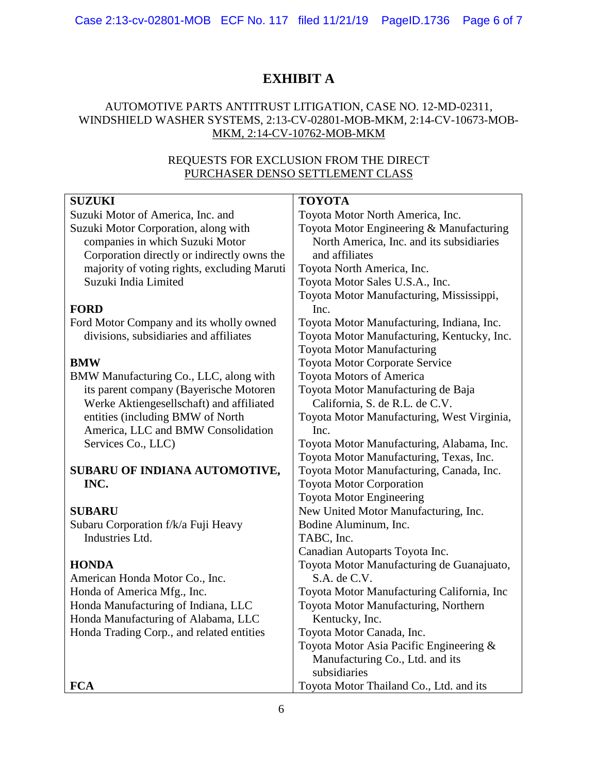# **EXHIBIT A**

### AUTOMOTIVE PARTS ANTITRUST LITIGATION, CASE NO. 12-MD-02311, WINDSHIELD WASHER SYSTEMS, 2:13-CV-02801-MOB-MKM, 2:14-CV-10673-MOB-MKM, 2:14-CV-10762-MOB-MKM

# REQUESTS FOR EXCLUSION FROM THE DIRECT PURCHASER DENSO SETTLEMENT CLASS

| <b>SUZUKI</b>                               | <b>TOYOTA</b>                              |
|---------------------------------------------|--------------------------------------------|
| Suzuki Motor of America, Inc. and           | Toyota Motor North America, Inc.           |
| Suzuki Motor Corporation, along with        | Toyota Motor Engineering & Manufacturing   |
| companies in which Suzuki Motor             | North America, Inc. and its subsidiaries   |
| Corporation directly or indirectly owns the | and affiliates                             |
| majority of voting rights, excluding Maruti | Toyota North America, Inc.                 |
| Suzuki India Limited                        | Toyota Motor Sales U.S.A., Inc.            |
|                                             | Toyota Motor Manufacturing, Mississippi,   |
| <b>FORD</b>                                 | Inc.                                       |
| Ford Motor Company and its wholly owned     | Toyota Motor Manufacturing, Indiana, Inc.  |
| divisions, subsidiaries and affiliates      | Toyota Motor Manufacturing, Kentucky, Inc. |
|                                             | <b>Toyota Motor Manufacturing</b>          |
| <b>BMW</b>                                  | <b>Toyota Motor Corporate Service</b>      |
| BMW Manufacturing Co., LLC, along with      | Toyota Motors of America                   |
| its parent company (Bayerische Motoren      | Toyota Motor Manufacturing de Baja         |
| Werke Aktiengesellschaft) and affiliated    | California, S. de R.L. de C.V.             |
| entities (including BMW of North            | Toyota Motor Manufacturing, West Virginia, |
| America, LLC and BMW Consolidation          | Inc.                                       |
| Services Co., LLC)                          | Toyota Motor Manufacturing, Alabama, Inc.  |
|                                             | Toyota Motor Manufacturing, Texas, Inc.    |
| SUBARU OF INDIANA AUTOMOTIVE,               | Toyota Motor Manufacturing, Canada, Inc.   |
| INC.                                        | <b>Toyota Motor Corporation</b>            |
|                                             | <b>Toyota Motor Engineering</b>            |
| <b>SUBARU</b>                               | New United Motor Manufacturing, Inc.       |
| Subaru Corporation f/k/a Fuji Heavy         | Bodine Aluminum, Inc.                      |
| Industries Ltd.                             | TABC, Inc.                                 |
|                                             | Canadian Autoparts Toyota Inc.             |
| <b>HONDA</b>                                | Toyota Motor Manufacturing de Guanajuato,  |
| American Honda Motor Co., Inc.              | S.A. de C.V.                               |
| Honda of America Mfg., Inc.                 | Toyota Motor Manufacturing California, Inc |
| Honda Manufacturing of Indiana, LLC         | Toyota Motor Manufacturing, Northern       |
| Honda Manufacturing of Alabama, LLC         | Kentucky, Inc.                             |
| Honda Trading Corp., and related entities   | Toyota Motor Canada, Inc.                  |
|                                             | Toyota Motor Asia Pacific Engineering &    |
|                                             | Manufacturing Co., Ltd. and its            |
|                                             | subsidiaries                               |
| <b>FCA</b>                                  | Toyota Motor Thailand Co., Ltd. and its    |